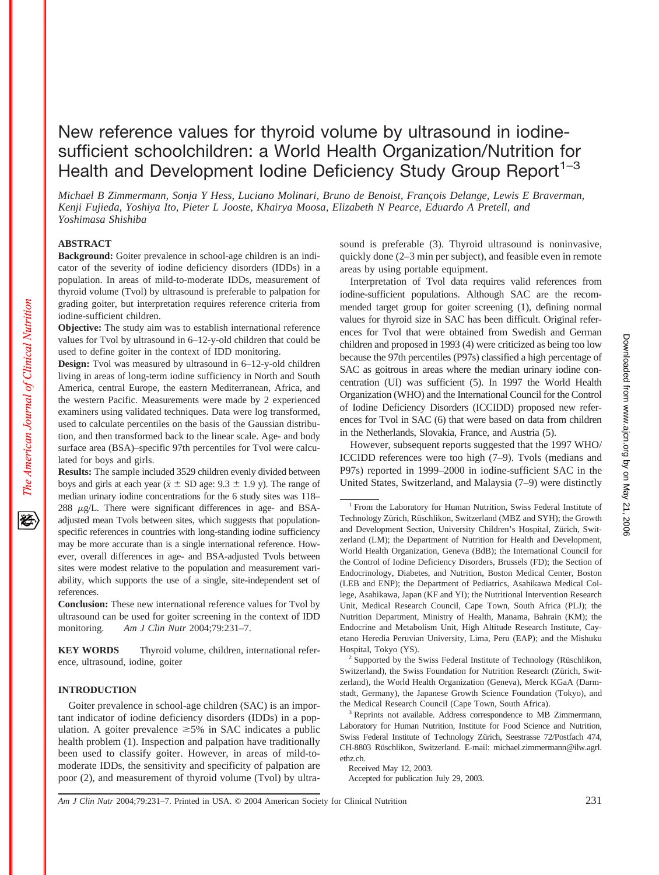# New reference values for thyroid volume by ultrasound in iodinesufficient schoolchildren: a World Health Organization/Nutrition for Health and Development Iodine Deficiency Study Group Report<sup>1-3</sup>

*Michael B Zimmermann, Sonja Y Hess, Luciano Molinari, Bruno de Benoist, François Delange, Lewis E Braverman, Kenji Fujieda, Yoshiya Ito, Pieter L Jooste, Khairya Moosa, Elizabeth N Pearce, Eduardo A Pretell, and Yoshimasa Shishiba*

## **ABSTRACT**

The American Journal of Clinical Nutrition

**Background:** Goiter prevalence in school-age children is an indicator of the severity of iodine deficiency disorders (IDDs) in a population. In areas of mild-to-moderate IDDs, measurement of thyroid volume (Tvol) by ultrasound is preferable to palpation for grading goiter, but interpretation requires reference criteria from iodine-sufficient children.

**Objective:** The study aim was to establish international reference values for Tvol by ultrasound in 6–12-y-old children that could be used to define goiter in the context of IDD monitoring.

**Design:** Tvol was measured by ultrasound in 6–12-y-old children living in areas of long-term iodine sufficiency in North and South America, central Europe, the eastern Mediterranean, Africa, and the western Pacific. Measurements were made by 2 experienced examiners using validated techniques. Data were log transformed, used to calculate percentiles on the basis of the Gaussian distribution, and then transformed back to the linear scale. Age- and body surface area (BSA)–specific 97th percentiles for Tvol were calculated for boys and girls.

**Results:** The sample included 3529 children evenly divided between boys and girls at each year ( $\bar{x} \pm SD$  age: 9.3  $\pm$  1.9 y). The range of median urinary iodine concentrations for the 6 study sites was 118– 288  $\mu$ g/L. There were significant differences in age- and BSAadjusted mean Tvols between sites, which suggests that populationspecific references in countries with long-standing iodine sufficiency may be more accurate than is a single international reference. However, overall differences in age- and BSA-adjusted Tvols between sites were modest relative to the population and measurement variability, which supports the use of a single, site-independent set of references.

**Conclusion:** These new international reference values for Tvol by ultrasound can be used for goiter screening in the context of IDD monitoring. *Am J Clin Nutr* 2004;79:231–7.

**KEY WORDS** Thyroid volume, children, international reference, ultrasound, iodine, goiter

# **INTRODUCTION**

Goiter prevalence in school-age children (SAC) is an important indicator of iodine deficiency disorders (IDDs) in a population. A goiter prevalence  $\geq$ 5% in SAC indicates a public health problem (1). Inspection and palpation have traditionally been used to classify goiter. However, in areas of mild-tomoderate IDDs, the sensitivity and specificity of palpation are poor (2), and measurement of thyroid volume (Tvol) by ultrasound is preferable (3). Thyroid ultrasound is noninvasive, quickly done (2–3 min per subject), and feasible even in remote areas by using portable equipment.

Interpretation of Tvol data requires valid references from iodine-sufficient populations. Although SAC are the recommended target group for goiter screening (1), defining normal values for thyroid size in SAC has been difficult. Original references for Tvol that were obtained from Swedish and German children and proposed in 1993 (4) were criticized as being too low because the 97th percentiles (P97s) classified a high percentage of SAC as goitrous in areas where the median urinary iodine concentration (UI) was sufficient (5). In 1997 the World Health Organization (WHO) and the International Council for the Control of Iodine Deficiency Disorders (ICCIDD) proposed new references for Tvol in SAC (6) that were based on data from children in the Netherlands, Slovakia, France, and Austria (5).

However, subsequent reports suggested that the 1997 WHO/ ICCIDD references were too high (7–9). Tvols (medians and P97s) reported in 1999–2000 in iodine-sufficient SAC in the United States, Switzerland, and Malaysia (7–9) were distinctly

Accepted for publication July 29, 2003.

*Am J Clin Nutr* 2004;79:231–7. Printed in USA. © 2004 American Society for Clinical Nutrition 231

<sup>&</sup>lt;sup>1</sup> From the Laboratory for Human Nutrition, Swiss Federal Institute of Technology Zürich, Rüschlikon, Switzerland (MBZ and SYH); the Growth and Development Section, University Children's Hospital, Zürich, Switzerland (LM); the Department of Nutrition for Health and Development, World Health Organization, Geneva (BdB); the International Council for the Control of Iodine Deficiency Disorders, Brussels (FD); the Section of Endocrinology, Diabetes, and Nutrition, Boston Medical Center, Boston (LEB and ENP); the Department of Pediatrics, Asahikawa Medical College, Asahikawa, Japan (KF and YI); the Nutritional Intervention Research Unit, Medical Research Council, Cape Town, South Africa (PLJ); the Nutrition Department, Ministry of Health, Manama, Bahrain (KM); the Endocrine and Metabolism Unit, High Altitude Research Institute, Cayetano Heredia Peruvian University, Lima, Peru (EAP); and the Mishuku Hospital, Tokyo (YS).

 $2$  Supported by the Swiss Federal Institute of Technology (Rüschlikon, Switzerland), the Swiss Foundation for Nutrition Research (Zürich, Switzerland), the World Health Organization (Geneva), Merck KGaA (Darmstadt, Germany), the Japanese Growth Science Foundation (Tokyo), and the Medical Research Council (Cape Town, South Africa).

<sup>&</sup>lt;sup>3</sup> Reprints not available. Address correspondence to MB Zimmermann, Laboratory for Human Nutrition, Institute for Food Science and Nutrition, Swiss Federal Institute of Technology Zürich, Seestrasse 72/Postfach 474, CH-8803 Rüschlikon, Switzerland. E-mail: michael.zimmermann@ilw.agrl. ethz.ch.

Received May 12, 2003.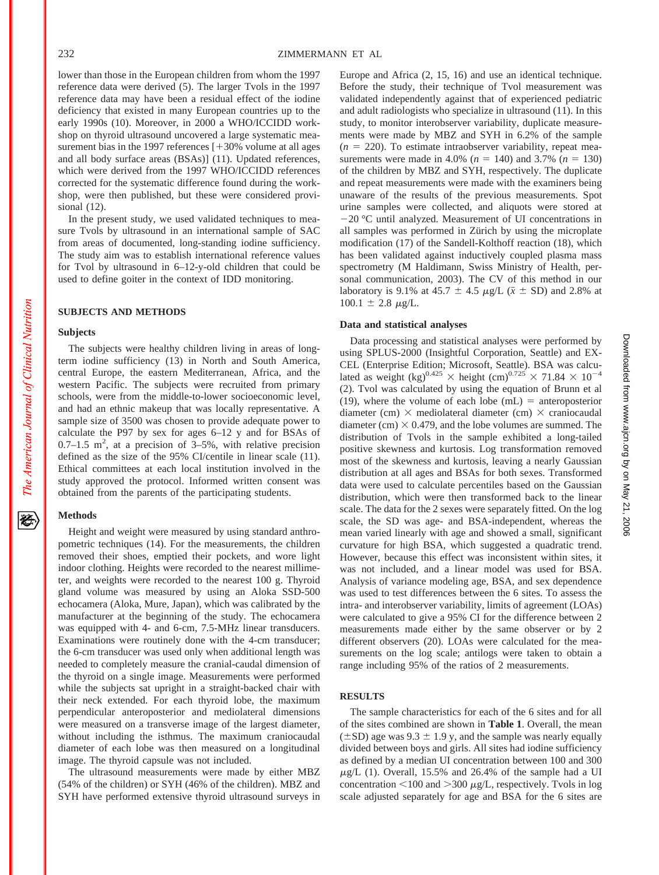lower than those in the European children from whom the 1997 reference data were derived (5). The larger Tvols in the 1997 reference data may have been a residual effect of the iodine deficiency that existed in many European countries up to the early 1990s (10). Moreover, in 2000 a WHO/ICCIDD workshop on thyroid ultrasound uncovered a large systematic measurement bias in the 1997 references  $[+30\%$  volume at all ages and all body surface areas (BSAs)] (11). Updated references, which were derived from the 1997 WHO/ICCIDD references corrected for the systematic difference found during the workshop, were then published, but these were considered provisional (12).

In the present study, we used validated techniques to measure Tvols by ultrasound in an international sample of SAC from areas of documented, long-standing iodine sufficiency. The study aim was to establish international reference values for Tvol by ultrasound in 6–12-y-old children that could be used to define goiter in the context of IDD monitoring.

## **SUBJECTS AND METHODS**

#### **Subjects**

The American Journal of Clinical Nutrition

移

The subjects were healthy children living in areas of longterm iodine sufficiency (13) in North and South America, central Europe, the eastern Mediterranean, Africa, and the western Pacific. The subjects were recruited from primary schools, were from the middle-to-lower socioeconomic level, and had an ethnic makeup that was locally representative. A sample size of 3500 was chosen to provide adequate power to calculate the P97 by sex for ages 6–12 y and for BSAs of  $0.7-1.5$  m<sup>2</sup>, at a precision of  $3-5%$ , with relative precision defined as the size of the 95% CI/centile in linear scale (11). Ethical committees at each local institution involved in the study approved the protocol. Informed written consent was obtained from the parents of the participating students.

# **Methods**

Height and weight were measured by using standard anthropometric techniques (14). For the measurements, the children removed their shoes, emptied their pockets, and wore light indoor clothing. Heights were recorded to the nearest millimeter, and weights were recorded to the nearest 100 g. Thyroid gland volume was measured by using an Aloka SSD-500 echocamera (Aloka, Mure, Japan), which was calibrated by the manufacturer at the beginning of the study. The echocamera was equipped with 4- and 6-cm, 7.5-MHz linear transducers. Examinations were routinely done with the 4-cm transducer; the 6-cm transducer was used only when additional length was needed to completely measure the cranial-caudal dimension of the thyroid on a single image. Measurements were performed while the subjects sat upright in a straight-backed chair with their neck extended. For each thyroid lobe, the maximum perpendicular anteroposterior and mediolateral dimensions were measured on a transverse image of the largest diameter, without including the isthmus. The maximum craniocaudal diameter of each lobe was then measured on a longitudinal image. The thyroid capsule was not included.

The ultrasound measurements were made by either MBZ (54% of the children) or SYH (46% of the children). MBZ and SYH have performed extensive thyroid ultrasound surveys in

Europe and Africa (2, 15, 16) and use an identical technique. Before the study, their technique of Tvol measurement was validated independently against that of experienced pediatric and adult radiologists who specialize in ultrasound (11). In this study, to monitor interobserver variability, duplicate measurements were made by MBZ and SYH in 6.2% of the sample  $(n = 220)$ . To estimate intraobserver variability, repeat measurements were made in 4.0% ( $n = 140$ ) and 3.7% ( $n = 130$ ) of the children by MBZ and SYH, respectively. The duplicate and repeat measurements were made with the examiners being unaware of the results of the previous measurements. Spot urine samples were collected, and aliquots were stored at  $-20$  °C until analyzed. Measurement of UI concentrations in all samples was performed in Zürich by using the microplate modification (17) of the Sandell-Kolthoff reaction (18), which has been validated against inductively coupled plasma mass spectrometry (M Haldimann, Swiss Ministry of Health, personal communication, 2003). The CV of this method in our laboratory is 9.1% at 45.7  $\pm$  4.5  $\mu$ g/L ( $\bar{x}$   $\pm$  SD) and 2.8% at  $100.1 \pm 2.8 \mu g/L$ .

#### **Data and statistical analyses**

Data processing and statistical analyses were performed by using SPLUS-2000 (Insightful Corporation, Seattle) and EX-CEL (Enterprise Edition; Microsoft, Seattle). BSA was calculated as weight (kg)<sup>0.425</sup>  $\times$  height (cm)<sup>0.725</sup>  $\times$  71.84  $\times$  10<sup>-4</sup> (2). Tvol was calculated by using the equation of Brunn et al (19), where the volume of each lobe  $(mL)$  = anteroposterior diameter (cm)  $\times$  mediolateral diameter (cm)  $\times$  craniocaudal diameter (cm)  $\times$  0.479, and the lobe volumes are summed. The distribution of Tvols in the sample exhibited a long-tailed positive skewness and kurtosis. Log transformation removed most of the skewness and kurtosis, leaving a nearly Gaussian distribution at all ages and BSAs for both sexes. Transformed data were used to calculate percentiles based on the Gaussian distribution, which were then transformed back to the linear scale. The data for the 2 sexes were separately fitted. On the log scale, the SD was age- and BSA-independent, whereas the mean varied linearly with age and showed a small, significant curvature for high BSA, which suggested a quadratic trend. However, because this effect was inconsistent within sites, it was not included, and a linear model was used for BSA. Analysis of variance modeling age, BSA, and sex dependence was used to test differences between the 6 sites. To assess the intra- and interobserver variability, limits of agreement (LOAs) were calculated to give a 95% CI for the difference between 2 measurements made either by the same observer or by 2 different observers (20). LOAs were calculated for the measurements on the log scale; antilogs were taken to obtain a range including 95% of the ratios of 2 measurements.

## **RESULTS**

The sample characteristics for each of the 6 sites and for all of the sites combined are shown in **Table 1**. Overall, the mean  $(\pm SD)$  age was 9.3  $\pm$  1.9 y, and the sample was nearly equally divided between boys and girls. All sites had iodine sufficiency as defined by a median UI concentration between 100 and 300  $\mu$ g/L (1). Overall, 15.5% and 26.4% of the sample had a UI concentration  $\leq 100$  and  $> 300 \mu g/L$ , respectively. Tvols in log scale adjusted separately for age and BSA for the 6 sites are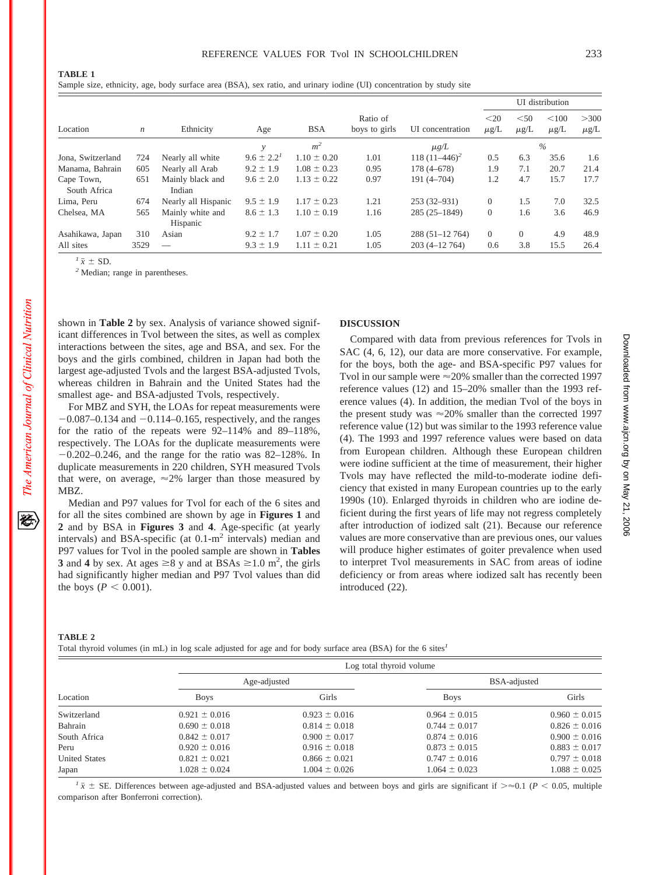Sample size, ethnicity, age, body surface area (BSA), sex ratio, and urinary iodine (UI) concentration by study site

|                            |                  |                              |                   |                 |                           |                  | UI distribution   |                   |                    |                   |
|----------------------------|------------------|------------------------------|-------------------|-----------------|---------------------------|------------------|-------------------|-------------------|--------------------|-------------------|
| Location                   | $\boldsymbol{n}$ | Ethnicity                    | Age               | <b>BSA</b>      | Ratio of<br>boys to girls | UI concentration | $20$<br>$\mu$ g/L | < 50<br>$\mu$ g/L | < 100<br>$\mu$ g/L | >300<br>$\mu$ g/L |
|                            |                  |                              | $\mathcal V$      | m <sup>2</sup>  |                           | $\mu$ g/L        |                   |                   | $\%$               |                   |
| Jona, Switzerland          | 724              | Nearly all white             | $9.6 \pm 2.2^{1}$ | $1.10 \pm 0.20$ | 1.01                      | $118(11-446)^2$  | 0.5               | 6.3               | 35.6               | 1.6               |
| Manama, Bahrain            | 605              | Nearly all Arab              | $9.2 \pm 1.9$     | $1.08 \pm 0.23$ | 0.95                      | $178(4 - 678)$   | 1.9               | 7.1               | 20.7               | 21.4              |
| Cape Town,<br>South Africa | 651              | Mainly black and<br>Indian   | $9.6 \pm 2.0$     | $1.13 \pm 0.22$ | 0.97                      | $191(4 - 704)$   | 1.2               | 4.7               | 15.7               | 17.7              |
| Lima, Peru                 | 674              | Nearly all Hispanic          | $9.5 \pm 1.9$     | $1.17 \pm 0.23$ | 1.21                      | $253(32 - 931)$  | $\Omega$          | 1.5               | 7.0                | 32.5              |
| Chelsea, MA                | 565              | Mainly white and<br>Hispanic | $8.6 \pm 1.3$     | $1.10 \pm 0.19$ | 1.16                      | 285 (25-1849)    | $\overline{0}$    | 1.6               | 3.6                | 46.9              |
| Asahikawa, Japan           | 310              | Asian                        | $9.2 \pm 1.7$     | $1.07 \pm 0.20$ | 1.05                      | $288(51-12764)$  | $\Omega$          | $\Omega$          | 4.9                | 48.9              |
| All sites                  | 3529             |                              | $9.3 \pm 1.9$     | $1.11 \pm 0.21$ | 1.05                      | $203(4-12764)$   | 0.6               | 3.8               | 15.5               | 26.4              |

 $\frac{1}{x} \pm SD$ .<br><sup>2</sup> Median; range in parentheses.

shown in **Table 2** by sex. Analysis of variance showed significant differences in Tvol between the sites, as well as complex interactions between the sites, age and BSA, and sex. For the boys and the girls combined, children in Japan had both the largest age-adjusted Tvols and the largest BSA-adjusted Tvols, whereas children in Bahrain and the United States had the smallest age- and BSA-adjusted Tvols, respectively.

For MBZ and SYH, the LOAs for repeat measurements were  $-0.087-0.134$  and  $-0.114-0.165$ , respectively, and the ranges for the ratio of the repeats were 92–114% and 89–118%, respectively. The LOAs for the duplicate measurements were  $-0.202-0.246$ , and the range for the ratio was 82–128%. In duplicate measurements in 220 children, SYH measured Tvols that were, on average,  $\approx 2\%$  larger than those measured by MBZ.

Median and P97 values for Tvol for each of the 6 sites and for all the sites combined are shown by age in **Figures 1** and **2** and by BSA in **Figures 3** and **4**. Age-specific (at yearly intervals) and BSA-specific (at 0.1-m<sup>2</sup> intervals) median and P97 values for Tvol in the pooled sample are shown in **Tables 3** and **4** by sex. At ages  $\geq 8$  y and at BSAs  $\geq 1.0$  m<sup>2</sup>, the girls had significantly higher median and P97 Tvol values than did the boys ( $P < 0.001$ ).

#### **DISCUSSION**

Compared with data from previous references for Tvols in SAC (4, 6, 12), our data are more conservative. For example, for the boys, both the age- and BSA-specific P97 values for Tvol in our sample were  $\approx$  20% smaller than the corrected 1997 reference values (12) and 15–20% smaller than the 1993 reference values (4). In addition, the median Tvol of the boys in the present study was  $\approx 20\%$  smaller than the corrected 1997 reference value (12) but was similar to the 1993 reference value (4). The 1993 and 1997 reference values were based on data from European children. Although these European children were iodine sufficient at the time of measurement, their higher Tvols may have reflected the mild-to-moderate iodine deficiency that existed in many European countries up to the early 1990s (10). Enlarged thyroids in children who are iodine deficient during the first years of life may not regress completely after introduction of iodized salt (21). Because our reference values are more conservative than are previous ones, our values will produce higher estimates of goiter prevalence when used to interpret Tvol measurements in SAC from areas of iodine deficiency or from areas where iodized salt has recently been introduced (22).

The American Journal of Clinical Nutrition

Total thyroid volumes (in mL) in log scale adjusted for age and for body surface area (BSA) for the 6 sites*<sup>1</sup>*

| Location             |                   | Log total thyroid volume |                   |                   |  |  |  |
|----------------------|-------------------|--------------------------|-------------------|-------------------|--|--|--|
|                      |                   | Age-adjusted             | BSA-adjusted      |                   |  |  |  |
|                      | <b>Boys</b>       | Girls                    | <b>Boys</b>       | Girls             |  |  |  |
| Switzerland          | $0.921 \pm 0.016$ | $0.923 \pm 0.016$        | $0.964 \pm 0.015$ | $0.960 \pm 0.015$ |  |  |  |
| Bahrain              | $0.690 \pm 0.018$ | $0.814 \pm 0.018$        | $0.744 \pm 0.017$ | $0.826 \pm 0.016$ |  |  |  |
| South Africa         | $0.842 \pm 0.017$ | $0.900 \pm 0.017$        | $0.874 \pm 0.016$ | $0.900 \pm 0.016$ |  |  |  |
| Peru                 | $0.920 \pm 0.016$ | $0.916 \pm 0.018$        | $0.873 \pm 0.015$ | $0.883 \pm 0.017$ |  |  |  |
| <b>United States</b> | $0.821 \pm 0.021$ | $0.866 \pm 0.021$        | $0.747 \pm 0.016$ | $0.797 \pm 0.018$ |  |  |  |
| Japan                | $1.028 \pm 0.024$ | $1.004 \pm 0.026$        | $1.064 \pm 0.023$ | $1.088 \pm 0.025$ |  |  |  |

 $\frac{1}{x}$   $\pm$  SE. Differences between age-adjusted and BSA-adjusted values and between boys and girls are significant if  $\gg$  0.1 (*P* < 0.05, multiple comparison after Bonferroni correction).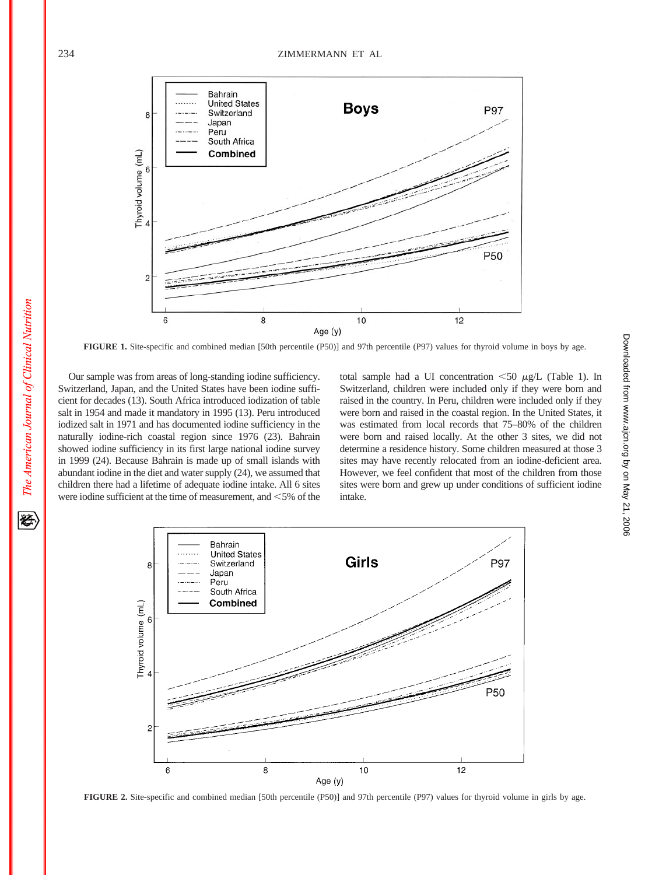

**FIGURE 1.** Site-specific and combined median [50th percentile (P50)] and 97th percentile (P97) values for thyroid volume in boys by age.

Our sample was from areas of long-standing iodine sufficiency. Switzerland, Japan, and the United States have been iodine sufficient for decades (13). South Africa introduced iodization of table salt in 1954 and made it mandatory in 1995 (13). Peru introduced iodized salt in 1971 and has documented iodine sufficiency in the naturally iodine-rich coastal region since 1976 (23). Bahrain showed iodine sufficiency in its first large national iodine survey in 1999 (24). Because Bahrain is made up of small islands with abundant iodine in the diet and water supply (24), we assumed that children there had a lifetime of adequate iodine intake. All 6 sites were iodine sufficient at the time of measurement, and  $\leq 5\%$  of the total sample had a UI concentration  $\leq 50 \mu g/L$  (Table 1). In Switzerland, children were included only if they were born and raised in the country. In Peru, children were included only if they were born and raised in the coastal region. In the United States, it was estimated from local records that 75–80% of the children were born and raised locally. At the other 3 sites, we did not determine a residence history. Some children measured at those 3 sites may have recently relocated from an iodine-deficient area. However, we feel confident that most of the children from those sites were born and grew up under conditions of sufficient iodine intake.



**FIGURE 2.** Site-specific and combined median [50th percentile (P50)] and 97th percentile (P97) values for thyroid volume in girls by age.

The American Journal of Clinical Nutrition

经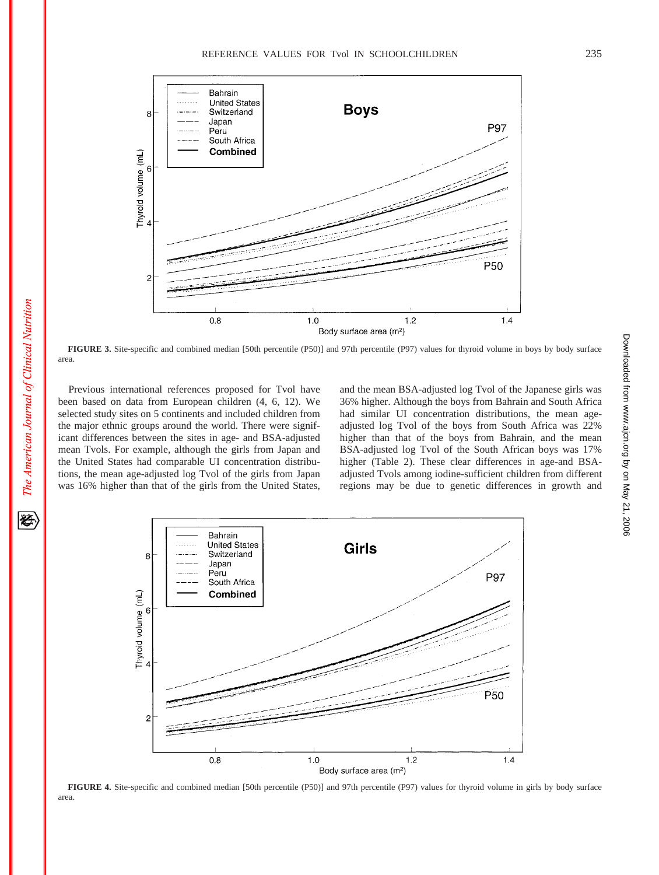

**FIGURE 3.** Site-specific and combined median [50th percentile (P50)] and 97th percentile (P97) values for thyroid volume in boys by body surface area.

Previous international references proposed for Tvol have been based on data from European children (4, 6, 12). We selected study sites on 5 continents and included children from the major ethnic groups around the world. There were significant differences between the sites in age- and BSA-adjusted mean Tvols. For example, although the girls from Japan and the United States had comparable UI concentration distributions, the mean age-adjusted log Tvol of the girls from Japan was 16% higher than that of the girls from the United States,

and the mean BSA-adjusted log Tvol of the Japanese girls was 36% higher. Although the boys from Bahrain and South Africa had similar UI concentration distributions, the mean ageadjusted log Tvol of the boys from South Africa was 22% higher than that of the boys from Bahrain, and the mean BSA-adjusted log Tvol of the South African boys was 17% higher (Table 2). These clear differences in age-and BSAadjusted Tvols among iodine-sufficient children from different regions may be due to genetic differences in growth and



**FIGURE 4.** Site-specific and combined median [50th percentile (P50)] and 97th percentile (P97) values for thyroid volume in girls by body surface area.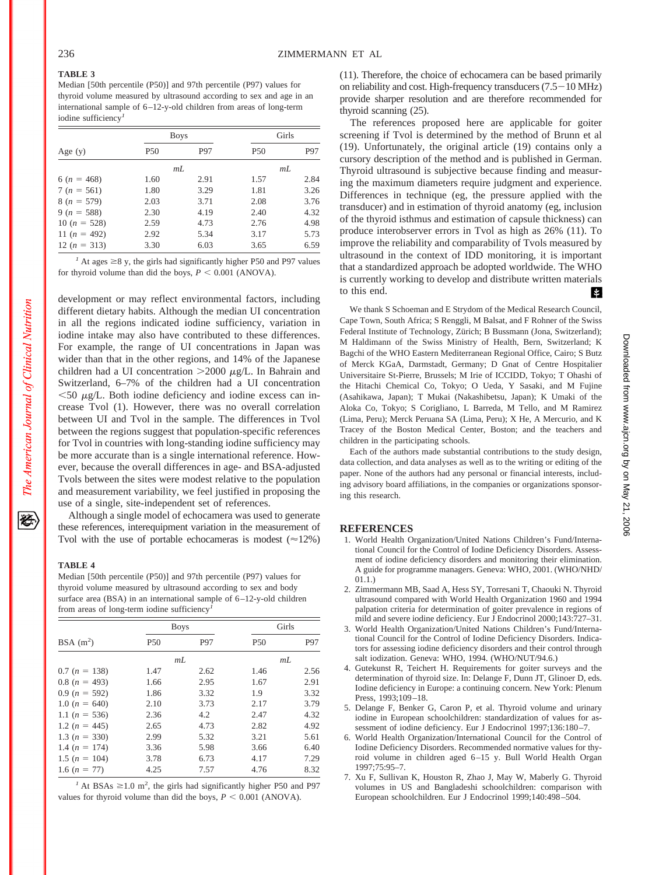# **TABLE 3**

Median [50th percentile (P50)] and 97th percentile (P97) values for thyroid volume measured by ultrasound according to sex and age in an international sample of 6–12-y-old children from areas of long-term iodine sufficiency*<sup>1</sup>*

|                  |      | <b>Boys</b> | Girls           |      |  |
|------------------|------|-------------|-----------------|------|--|
| Age $(y)$        | P50  | P97         | P <sub>50</sub> | P97  |  |
|                  | mL   |             | mL              |      |  |
| 6 ( $n = 468$ )  | 1.60 | 2.91        | 1.57            | 2.84 |  |
| $7 (n = 561)$    | 1.80 | 3.29        | 1.81            | 3.26 |  |
| $8(n = 579)$     | 2.03 | 3.71        | 2.08            | 3.76 |  |
| $9(n = 588)$     | 2.30 | 4.19        | 2.40            | 4.32 |  |
| 10 ( $n = 528$ ) | 2.59 | 4.73        | 2.76            | 4.98 |  |
| 11 $(n = 492)$   | 2.92 | 5.34        | 3.17            | 5.73 |  |
| 12 $(n = 313)$   | 3.30 | 6.03        | 3.65            | 6.59 |  |

<sup>1</sup> At ages  $\geq$ 8 y, the girls had significantly higher P50 and P97 values for thyroid volume than did the boys,  $P < 0.001$  (ANOVA).

development or may reflect environmental factors, including different dietary habits. Although the median UI concentration in all the regions indicated iodine sufficiency, variation in iodine intake may also have contributed to these differences. For example, the range of UI concentrations in Japan was wider than that in the other regions, and 14% of the Japanese children had a UI concentration  $>2000 \mu g/L$ . In Bahrain and Switzerland, 6–7% of the children had a UI concentration  $<$  50  $\mu$ g/L. Both iodine deficiency and iodine excess can increase Tvol (1). However, there was no overall correlation between UI and Tvol in the sample. The differences in Tvol between the regions suggest that population-specific references for Tvol in countries with long-standing iodine sufficiency may be more accurate than is a single international reference. However, because the overall differences in age- and BSA-adjusted Tvols between the sites were modest relative to the population and measurement variability, we feel justified in proposing the use of a single, site-independent set of references.

Although a single model of echocamera was used to generate these references, interequipment variation in the measurement of Tvol with the use of portable echocameras is modest  $(\approx 12\%)$ 

#### **TABLE 4**

Median [50th percentile (P50)] and 97th percentile (P97) values for thyroid volume measured by ultrasound according to sex and body surface area (BSA) in an international sample of 6–12-y-old children from areas of long-term iodine sufficiency*<sup>1</sup>*

|                 |            | <b>Boys</b> | Girls      |      |  |
|-----------------|------------|-------------|------------|------|--|
| BSA $(m^2)$     | <b>P50</b> | P97         | <b>P50</b> | P97  |  |
|                 | mL         |             | mL         |      |  |
| $0.7 (n = 138)$ | 1.47       | 2.62        | 1.46       | 2.56 |  |
| $0.8(n = 493)$  | 1.66       | 2.95        | 1.67       | 2.91 |  |
| $0.9(n = 592)$  | 1.86       | 3.32        | 1.9        | 3.32 |  |
| 1.0 $(n = 640)$ | 2.10       | 3.73        | 2.17       | 3.79 |  |
| 1.1 $(n = 536)$ | 2.36       | 4.2         | 2.47       | 4.32 |  |
| 1.2 $(n = 445)$ | 2.65       | 4.73        | 2.82       | 4.92 |  |
| 1.3 $(n = 330)$ | 2.99       | 5.32        | 3.21       | 5.61 |  |
| 1.4 $(n = 174)$ | 3.36       | 5.98        | 3.66       | 6.40 |  |
| 1.5 $(n = 104)$ | 3.78       | 6.73        | 4.17       | 7.29 |  |
| 1.6 $(n = 77)$  | 4.25       | 7.57        | 4.76       | 8.32 |  |

<sup>1</sup> At BSAs  $\geq$  1.0 m<sup>2</sup>, the girls had significantly higher P50 and P97 values for thyroid volume than did the boys,  $P \leq 0.001$  (ANOVA).

(11). Therefore, the choice of echocamera can be based primarily on reliability and cost. High-frequency transducers  $(7.5-10 \text{ MHz})$ provide sharper resolution and are therefore recommended for thyroid scanning (25).

The references proposed here are applicable for goiter screening if Tvol is determined by the method of Brunn et al (19). Unfortunately, the original article (19) contains only a cursory description of the method and is published in German. Thyroid ultrasound is subjective because finding and measuring the maximum diameters require judgment and experience. Differences in technique (eg, the pressure applied with the transducer) and in estimation of thyroid anatomy (eg, inclusion of the thyroid isthmus and estimation of capsule thickness) can produce interobserver errors in Tvol as high as 26% (11). To improve the reliability and comparability of Tvols measured by ultrasound in the context of IDD monitoring, it is important that a standardized approach be adopted worldwide. The WHO is currently working to develop and distribute written materials to this end. И

We thank S Schoeman and E Strydom of the Medical Research Council, Cape Town, South Africa; S Renggli, M Balsat, and F Rohner of the Swiss Federal Institute of Technology, Zürich; B Bussmann (Jona, Switzerland); M Haldimann of the Swiss Ministry of Health, Bern, Switzerland; K Bagchi of the WHO Eastern Mediterranean Regional Office, Cairo; S Butz of Merck KGaA, Darmstadt, Germany; D Gnat of Centre Hospitalier Universitaire St-Pierre, Brussels; M Irie of ICCIDD, Tokyo; T Ohashi of the Hitachi Chemical Co, Tokyo; O Ueda, Y Sasaki, and M Fujine (Asahikawa, Japan); T Mukai (Nakashibetsu, Japan); K Umaki of the Aloka Co, Tokyo; S Corigliano, L Barreda, M Tello, and M Ramirez (Lima, Peru); Merck Peruana SA (Lima, Peru); X He, A Mercurio, and K Tracey of the Boston Medical Center, Boston; and the teachers and children in the participating schools.

Each of the authors made substantial contributions to the study design, data collection, and data analyses as well as to the writing or editing of the paper. None of the authors had any personal or financial interests, including advisory board affiliations, in the companies or organizations sponsoring this research.

#### **REFERENCES**

- 1. World Health Organization/United Nations Children's Fund/International Council for the Control of Iodine Deficiency Disorders. Assessment of iodine deficiency disorders and monitoring their elimination. A guide for programme managers. Geneva: WHO, 2001. (WHO/NHD/ 01.1.)
- 2. Zimmermann MB, Saad A, Hess SY, Torresani T, Chaouki N. Thyroid ultrasound compared with World Health Organization 1960 and 1994 palpation criteria for determination of goiter prevalence in regions of mild and severe iodine deficiency. Eur J Endocrinol 2000;143:727–31.
- 3. World Health Organization/United Nations Children's Fund/International Council for the Control of Iodine Deficiency Disorders. Indicators for assessing iodine deficiency disorders and their control through salt iodization. Geneva: WHO, 1994. (WHO/NUT/94.6.)
- 4. Gutekunst R, Teichert H. Requirements for goiter surveys and the determination of thyroid size. In: Delange F, Dunn JT, Glinoer D, eds. Iodine deficiency in Europe: a continuing concern. New York: Plenum Press, 1993;109–18.
- 5. Delange F, Benker G, Caron P, et al. Thyroid volume and urinary iodine in European schoolchildren: standardization of values for assessment of iodine deficiency. Eur J Endocrinol 1997;136:180–7.
- 6. World Health Organization/International Council for the Control of Iodine Deficiency Disorders. Recommended normative values for thyroid volume in children aged 6–15 y. Bull World Health Organ 1997;75:95–7.
- 7. Xu F, Sullivan K, Houston R, Zhao J, May W, Maberly G. Thyroid volumes in US and Bangladeshi schoolchildren: comparison with European schoolchildren. Eur J Endocrinol 1999;140:498–504.

The American Journal of Clinical Nutrition